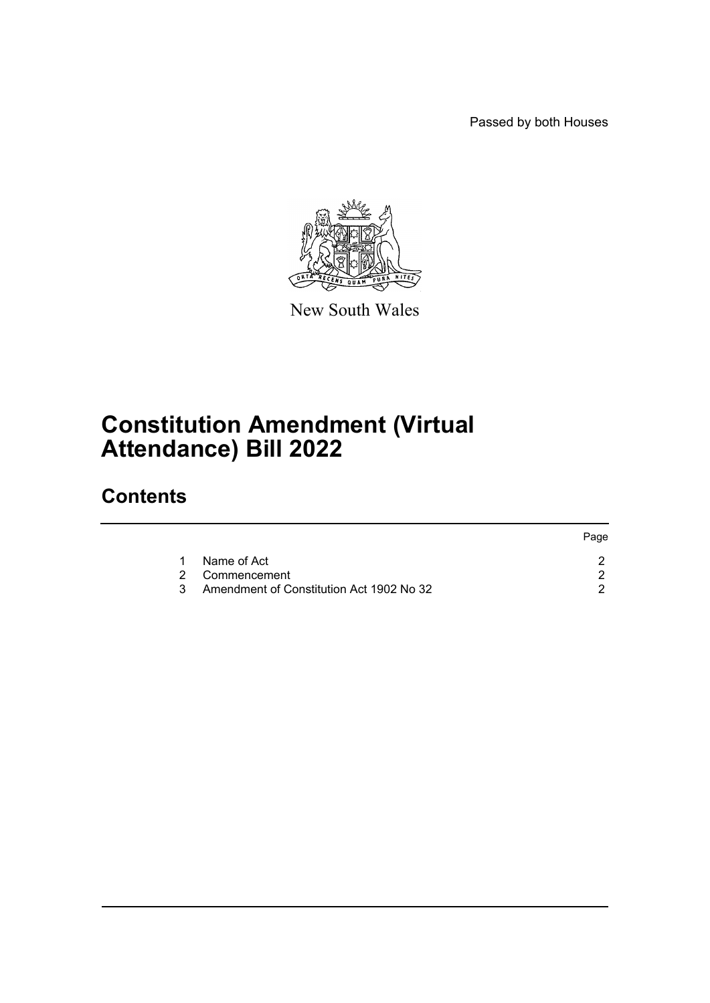Passed by both Houses



New South Wales

## **Constitution Amendment (Virtual Attendance) Bill 2022**

### **Contents**

|   |                                          | Page |
|---|------------------------------------------|------|
|   | Name of Act                              |      |
|   | 2 Commencement                           |      |
| 3 | Amendment of Constitution Act 1902 No 32 |      |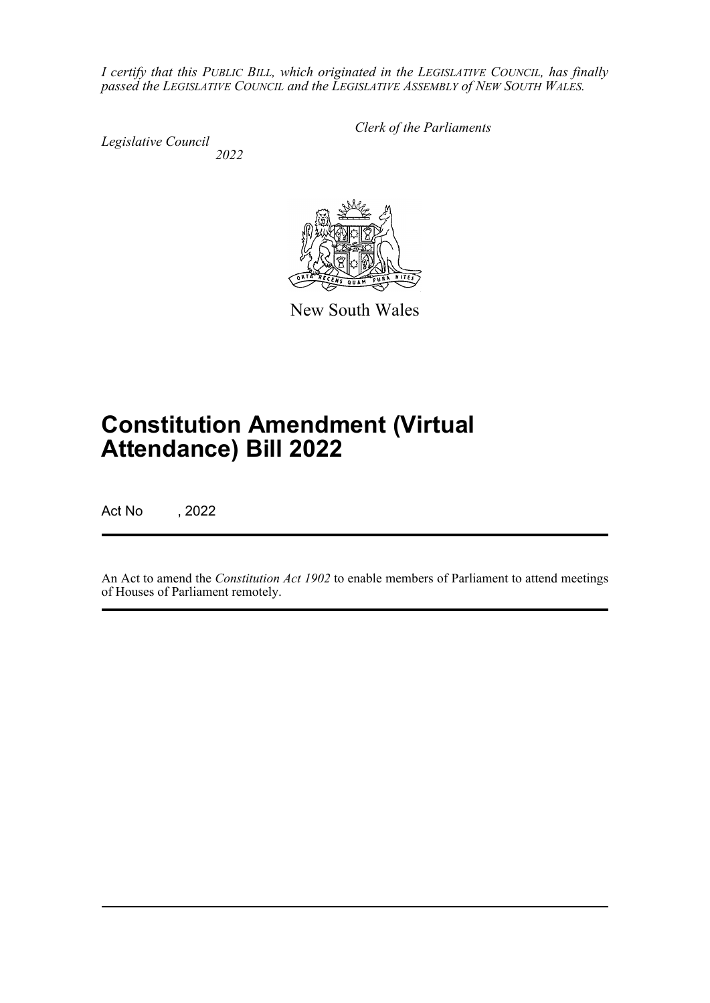*I certify that this PUBLIC BILL, which originated in the LEGISLATIVE COUNCIL, has finally passed the LEGISLATIVE COUNCIL and the LEGISLATIVE ASSEMBLY of NEW SOUTH WALES.*

*Legislative Council 2022* *Clerk of the Parliaments*

New South Wales

# **Constitution Amendment (Virtual Attendance) Bill 2022**

Act No , 2022

An Act to amend the *Constitution Act 1902* to enable members of Parliament to attend meetings of Houses of Parliament remotely.